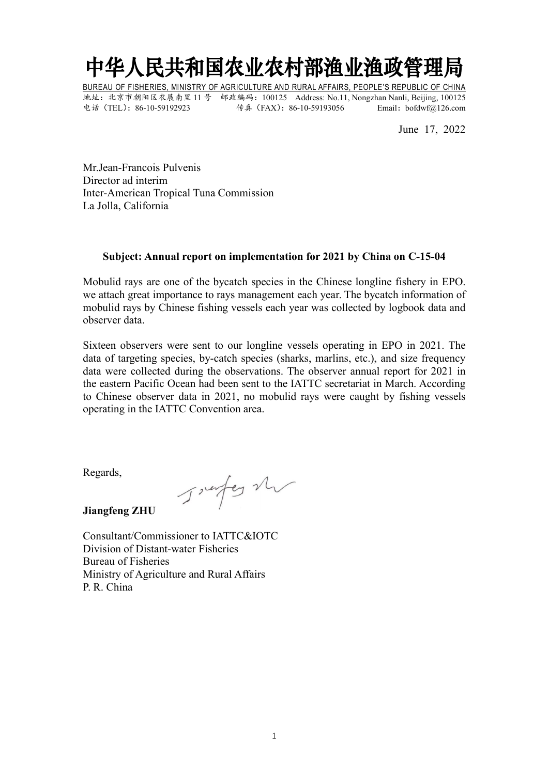## 中华人民共和国农业农村部渔业渔政管理局

BUREAU OF FISHERIES, MINISTRY OF AGRICULTURE AND RURAL AFFAIRS, PEOPLE'S REPUBLIC OF CHINA 地址:北京市朝阳区农展南里 11 号 邮政编码:100125 Address: No.11, Nongzhan Nanli, Beijing, 100125 电话(TEL):86-10-59192923 传真(FAX):86-10-59193056 Email:bofdwf@126.com

June 17, 2022

Mr.Jean-Francois Pulvenis Director ad interim Inter-American Tropical Tuna Commission La Jolla, California

## **Subject: Annual report on implementation for 2021 by China on C-15-04**

Mobulid rays are one of the bycatch species in the Chinese longline fishery in EPO. we attach great importance to rays management each year. The bycatch information of mobulid rays by Chinese fishing vessels each year was collected by logbook data and observer data.

Sixteen observers were sent to our longline vessels operating in EPO in 2021. The data of targeting species, by-catch species (sharks, marlins, etc.), and size frequency data were collected during the observations. The observer annual report for 2021 in the eastern Pacific Ocean had been sent to the IATTC secretariat in March. According to Chinese observer data in 2021, no mobulid rays were caught by fishing vessels operating in the IATTC Convention area.

Regards,<br>Jurel and Jureley M

**Jiangfeng ZHU**

Consultant/Commissioner to IATTC&IOTC Division of Distant-water Fisheries Bureau of Fisheries Ministry of Agriculture and Rural Affairs P. R. China